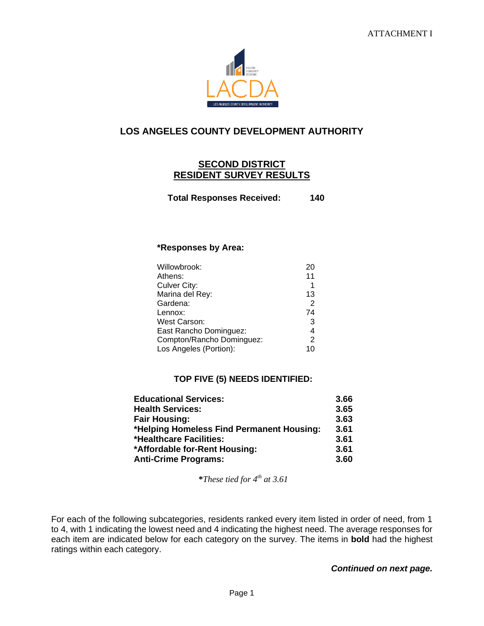

# **LOS ANGELES COUNTY DEVELOPMENT AUTHORITY**

#### **SECOND DISTRICT RESIDENT SURVEY RESULTS**

**Total Responses Received: 140**

#### **\*Responses by Area:**

| Willowbrook:              | 20 |
|---------------------------|----|
| Athens:                   | 11 |
| Culver City:              | 1  |
| Marina del Rey:           | 13 |
| Gardena:                  | 2  |
| Lennox:                   | 74 |
| West Carson:              | 3  |
| East Rancho Dominguez:    | 4  |
| Compton/Rancho Dominguez: | 2  |
| Los Angeles (Portion):    | 10 |

#### **TOP FIVE (5) NEEDS IDENTIFIED:**

| <b>Educational Services:</b>              | 3.66 |
|-------------------------------------------|------|
| <b>Health Services:</b>                   | 3.65 |
| <b>Fair Housing:</b>                      | 3.63 |
| *Helping Homeless Find Permanent Housing: | 3.61 |
| *Healthcare Facilities:                   | 3.61 |
| *Affordable for-Rent Housing:             | 3.61 |
| <b>Anti-Crime Programs:</b>               | 3.60 |

**\****These tied for 4 th at 3.61*

For each of the following subcategories, residents ranked every item listed in order of need, from 1 to 4, with 1 indicating the lowest need and 4 indicating the highest need. The average responses for each item are indicated below for each category on the survey. The items in **bold** had the highest ratings within each category.

#### *Continued on next page.*